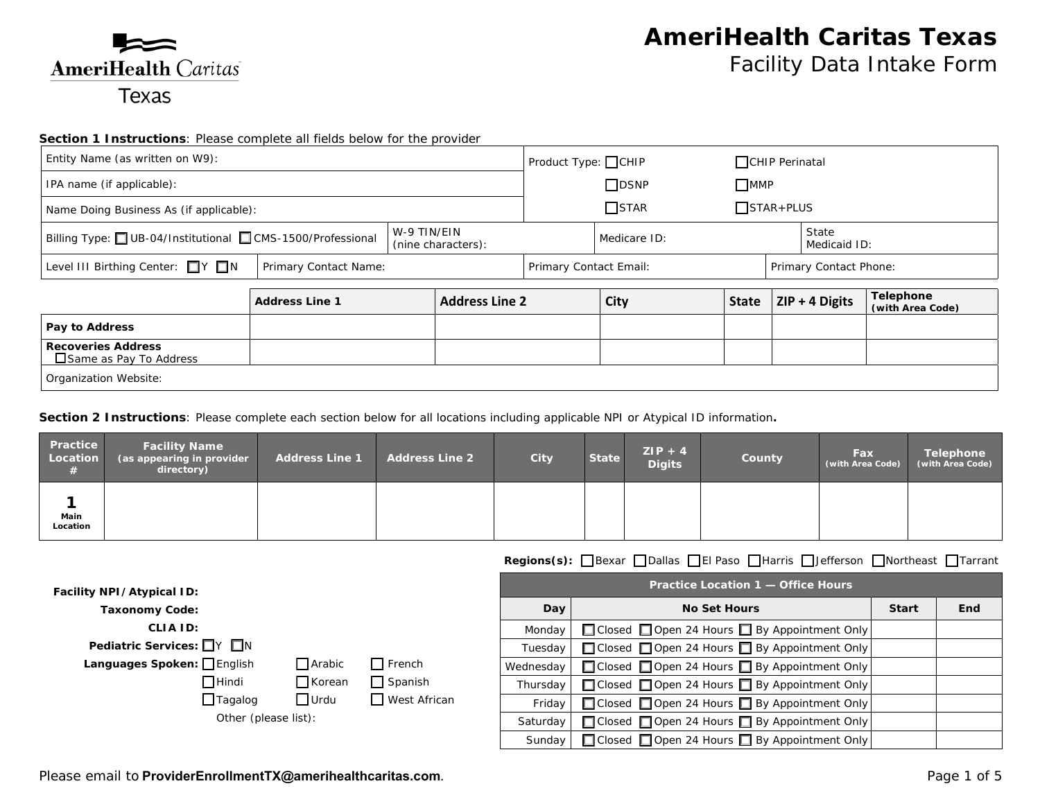

# Section 1 Instructions: Please complete all fields below for the provider

| Entity Name (as written on W9):                                                              |                       |  |                       | Product Type: □CHIP                   |             |              | CHIP Perinatal         |                  |                  |
|----------------------------------------------------------------------------------------------|-----------------------|--|-----------------------|---------------------------------------|-------------|--------------|------------------------|------------------|------------------|
| IPA name (if applicable):                                                                    |                       |  |                       |                                       | $\Box$ DSNP | $\Box$ MMP   |                        |                  |                  |
| Name Doing Business As (if applicable):                                                      |                       |  |                       | $\Box$ STAR                           |             |              | $\Box$ STAR+PLUS       |                  |                  |
| W-9 TIN/EIN<br>Billing Type: UB-04/Institutional CMS-1500/Professional<br>(nine characters): |                       |  |                       | State<br>Medicare ID:<br>Medicaid ID: |             |              |                        |                  |                  |
| Level III Birthing Center: ■Y ■N                                                             | Primary Contact Name: |  |                       | Primary Contact Email:                |             |              | Primary Contact Phone: |                  |                  |
|                                                                                              | <b>Address Line 1</b> |  | <b>Address Line 2</b> |                                       | City        | <b>State</b> |                        | $ZIP + 4$ Digits | Telephone        |
|                                                                                              |                       |  |                       |                                       |             |              |                        |                  | (with Area Code) |
| Pay to Address                                                                               |                       |  |                       |                                       |             |              |                        |                  |                  |
| <b>Recoveries Address</b><br>Same as Pay To Address                                          |                       |  |                       |                                       |             |              |                        |                  |                  |
| Organization Website:                                                                        |                       |  |                       |                                       |             |              |                        |                  |                  |

Section 2 Instructions: Please complete each section below for all locations including applicable NPI or Atypical ID information.

| <b>Practice</b><br>Location | <b>Facility Name</b><br>(as appearing in provider<br>directory) | Address Line 1 | <b>Address Line 2</b> | City | <b>State</b> | $ZIP + 4$<br><b>Digits</b> | County | Fax<br>(with Area Code) | Telephone<br>(with Area Code) |
|-----------------------------|-----------------------------------------------------------------|----------------|-----------------------|------|--------------|----------------------------|--------|-------------------------|-------------------------------|
| Main<br>Location            |                                                                 |                |                       |      |              |                            |        |                         |                               |

| Regions(s): <b>□Bexar</b> □Dallas □El Paso □Harris □Jefferson □Northeast □Tarrant |  |  |  |  |  |  |
|-----------------------------------------------------------------------------------|--|--|--|--|--|--|
|-----------------------------------------------------------------------------------|--|--|--|--|--|--|

| Facility NPI/Atypical ID:                    |                     |           | Practice Location 1 - Office Hours             |              |            |
|----------------------------------------------|---------------------|-----------|------------------------------------------------|--------------|------------|
| <b>Taxonomy Code:</b>                        |                     | Day       | <b>No Set Hours</b>                            | <b>Start</b> | <b>End</b> |
| CLIA ID:                                     |                     | Monday    | □ Closed □ Open 24 Hours □ By Appointment Only |              |            |
| <b>Pediatric Services:</b> $\Box Y$ $\Box N$ |                     | Tuesday   | □ Closed □ Open 24 Hours □ By Appointment Only |              |            |
| Languages Spoken: English<br>$\Box$ Arabic   | $\Box$ French       | Wednesdav | □ Closed □ Open 24 Hours □ By Appointment Only |              |            |
| $\exists$ Hindi<br>$\Box$ Korean             | $\Box$ Spanish      | Thursday  | □ Closed □ Open 24 Hours □ By Appointment Only |              |            |
| $\Box$ Tagalog<br>$\Box$ Urdu                | $\Box$ West African | Friday    | □ Closed □ Open 24 Hours □ By Appointment Only |              |            |
| Other (please list):                         |                     | Saturday  | □ Closed □ Open 24 Hours □ By Appointment Only |              |            |
|                                              |                     | Sunday    | □ Closed □ Open 24 Hours □ By Appointment Only |              |            |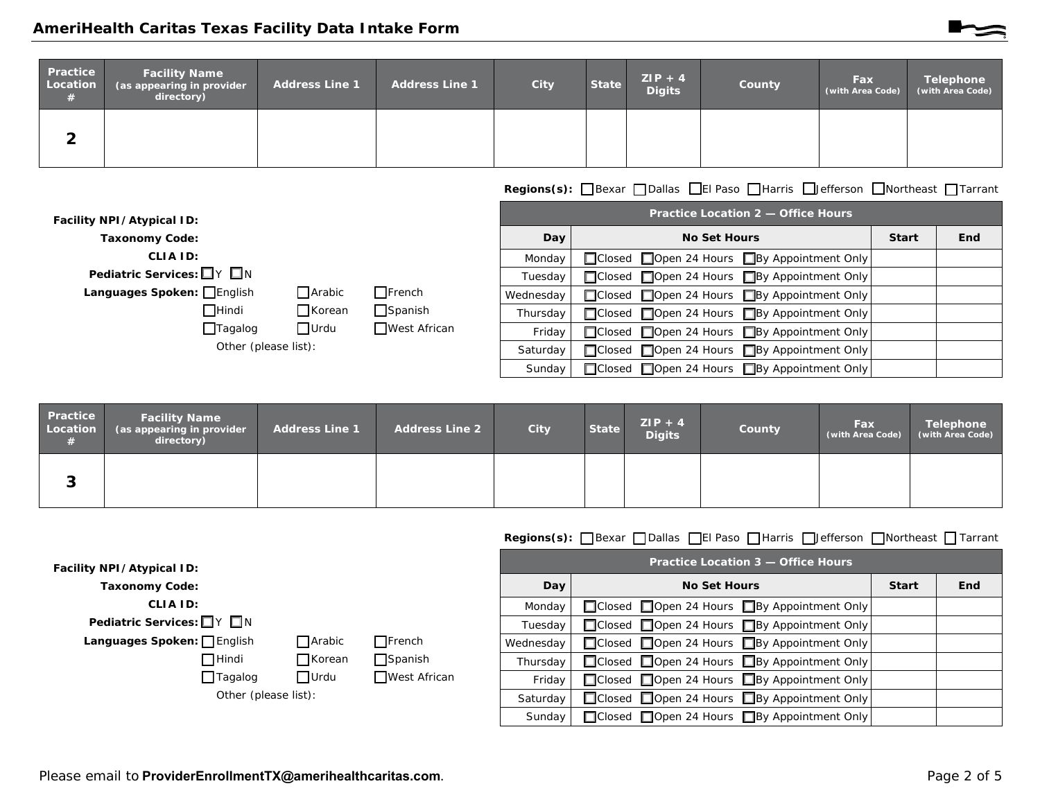

| Practice<br>Location | <b>Facility Name</b><br>(as appearing in provider<br>directory) | <b>Address Line 1</b> | <b>Address Line 1</b> | City | State | $ZIP + 4$<br><b>Digits</b> | County | Fax<br>(with Area Code) | Telephone<br>(with Area Code) |
|----------------------|-----------------------------------------------------------------|-----------------------|-----------------------|------|-------|----------------------------|--------|-------------------------|-------------------------------|
| ⌒                    |                                                                 |                       |                       |      |       |                            |        |                         |                               |

Regions(s): Bexar Dallas DEI Paso DHarris DJefferson DNortheast DTarrant

| Facility NPI/Atypical ID:                      |                     |           | Practice Location 2 – Office Hours             |              |            |
|------------------------------------------------|---------------------|-----------|------------------------------------------------|--------------|------------|
| <b>Taxonomy Code:</b>                          |                     | Day       | <b>No Set Hours</b>                            | <b>Start</b> | <b>End</b> |
| <b>CLIA ID:</b>                                |                     | Monday    | □ Closed □ Open 24 Hours □ By Appointment Only |              |            |
| Pediatric Services: $\Box$ $\Upsilon$ $\Box$ N |                     | Tuesday   | □ Closed □ Open 24 Hours □ By Appointment Only |              |            |
| Languages Spoken: English<br>$\Box$ Arabic     | $\Box$ French       | Wednesday | □ Closed □ Open 24 Hours □ By Appointment Only |              |            |
| $\prod$ Korean<br>$\exists$ Hindi              | $\Box$ Spanish      | Thursday  | □ Closed □ Open 24 Hours □ By Appointment Only |              |            |
| $\Box$ Urdu<br>$\Box$ Tagalog                  | $\Box$ West African | Friday    | □ Closed □ Open 24 Hours □ By Appointment Only |              |            |
| Other (please list):                           |                     | Saturday  | □ Closed □ Open 24 Hours □ By Appointment Only |              |            |
|                                                |                     | Sunday    | □ Closed □ Open 24 Hours □ By Appointment Only |              |            |

| Practice<br>Location<br># | <b>Facility Name</b><br>(as appearing in provider<br>directory) | <b>Address Line 1</b> | <b>Address Line 2</b> | City | <b>State</b> | $ZIP + 4$<br><b>Digits</b> | County | Fax<br>(with Area Code) | <b>Telephone</b><br>(with Area Code) |
|---------------------------|-----------------------------------------------------------------|-----------------------|-----------------------|------|--------------|----------------------------|--------|-------------------------|--------------------------------------|
| J                         |                                                                 |                       |                       |      |              |                            |        |                         |                                      |

# Regions(s): Bexar Dallas DEI Paso DHarris DJefferson DNortheast DTarrant

| Facility NPI/Atypical ID: |               |                | Practice Location 3 - Office Hours |                                                |              |            |  |  |  |  |
|---------------------------|---------------|----------------|------------------------------------|------------------------------------------------|--------------|------------|--|--|--|--|
| <b>Taxonomy Code:</b>     |               |                | <b>Day</b>                         | <b>No Set Hours</b>                            | <b>Start</b> | <b>End</b> |  |  |  |  |
| <b>CLIA ID:</b>           |               |                | Monday                             | □ Closed □ Open 24 Hours □ By Appointment Only |              |            |  |  |  |  |
| Pediatric Services: IY IN |               |                | Tuesday                            | □ Closed □ Open 24 Hours □ By Appointment Only |              |            |  |  |  |  |
| Languages Spoken: English | $\Box$ Arabic | $\Box$ French  | Wednesdav                          | □ Closed □ Open 24 Hours □ By Appointment Only |              |            |  |  |  |  |
| $\Box$ Hindi              | Korean        | $\Box$ Spanish | Thursday                           | □ Closed □ Open 24 Hours □ By Appointment Only |              |            |  |  |  |  |
| $\Box$ Tagalog            | $\Box$ Urdu   | West African   | Fridav                             | □ Closed □ Open 24 Hours □ By Appointment Only |              |            |  |  |  |  |
| Other (please list):      |               |                | Saturday                           | □ Closed □ Open 24 Hours □ By Appointment Only |              |            |  |  |  |  |
|                           |               |                | Sunday                             | □ Closed □ Open 24 Hours □ By Appointment Only |              |            |  |  |  |  |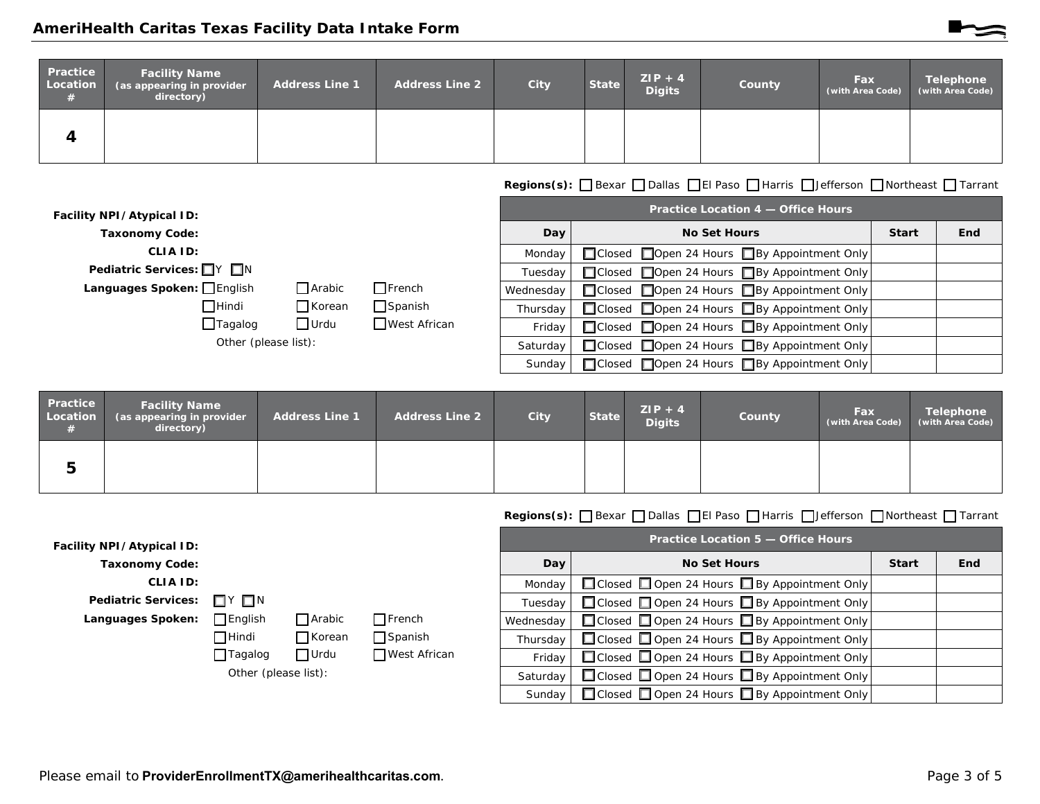

| Practice<br>Location | <b>Facility Name</b><br>(as appearing in provider<br>directory) | <b>Address Line 1</b> | <b>Address Line 2</b> | City | State | $ZIP + 4$<br><b>Digits</b> | County | Fax | <b>Telephone</b><br>(with Area Code) (with Area Code) |
|----------------------|-----------------------------------------------------------------|-----------------------|-----------------------|------|-------|----------------------------|--------|-----|-------------------------------------------------------|
| 4                    |                                                                 |                       |                       |      |       |                            |        |     |                                                       |

### Regions(s): Bexar Dallas DEI Paso DHarris DJefferson DNortheast DTarrant

| Facility NPI/Atypical ID:                    |               |                | Practice Location 4 - Office Hours |                                                |              |     |  |  |  |  |  |
|----------------------------------------------|---------------|----------------|------------------------------------|------------------------------------------------|--------------|-----|--|--|--|--|--|
| <b>Taxonomy Code:</b>                        |               |                | Day                                | <b>No Set Hours</b>                            | <b>Start</b> | End |  |  |  |  |  |
| <b>CLIA ID:</b>                              |               |                | Mondav                             | □ Closed □ Open 24 Hours □ By Appointment Only |              |     |  |  |  |  |  |
| <b>Pediatric Services:</b> $\Box Y$ $\Box N$ |               |                | Tuesday                            | □ Closed □ Open 24 Hours □ By Appointment Only |              |     |  |  |  |  |  |
| Languages Spoken: English                    | <b>Arabic</b> | $\Box$ French  | Wednesday                          | □ Closed □ Open 24 Hours □ By Appointment Only |              |     |  |  |  |  |  |
| <b>Hindi</b>                                 | $\Box$ Korean | $\Box$ Spanish | Thursday                           | □ Closed □ Open 24 Hours □ By Appointment Only |              |     |  |  |  |  |  |
| $\Box$ Tagalog                               | $\Box$ Urdu   | ■ West African | Friday                             | □ Closed □ Open 24 Hours □ By Appointment Only |              |     |  |  |  |  |  |
| Other (please list):                         |               |                | Saturday                           | □ Closed □ Open 24 Hours □ By Appointment Only |              |     |  |  |  |  |  |
|                                              |               |                | Sunday                             | □ Closed □ Open 24 Hours □ By Appointment Only |              |     |  |  |  |  |  |

| Practice<br>Location<br># | <b>Facility Name</b><br>(as appearing in provider<br>directory) | <b>Address Line 1</b> | <b>Address Line 2</b> | City | <b>State</b> | $ZIP + 4$<br><b>Digits</b> | County | Fax<br>(with Area Code) | Telephone<br>(with Area Code) |
|---------------------------|-----------------------------------------------------------------|-----------------------|-----------------------|------|--------------|----------------------------|--------|-------------------------|-------------------------------|
| b                         |                                                                 |                       |                       |      |              |                            |        |                         |                               |

## Regions(s): Bexar Dallas DEI Paso DHarris DJefferson DNortheast DTarrant

| Facility NPI/Atypical ID:  |                      |               |                |           | Practice Location 5 - Office Hours                            |              |            |
|----------------------------|----------------------|---------------|----------------|-----------|---------------------------------------------------------------|--------------|------------|
| <b>Taxonomy Code:</b>      |                      |               |                | Day       | <b>No Set Hours</b>                                           | <b>Start</b> | <b>End</b> |
| <b>CLIA ID:</b>            |                      |               |                | Monday    | □ Closed □ Open 24 Hours □ By Appointment Only                |              |            |
| <b>Pediatric Services:</b> | □Y □N                |               |                | Tuesday   | □ Closed □ Open 24 Hours □ By Appointment Only                |              |            |
| Languages Spoken:          | $\Box$ English       | $\Box$ Arabic | $\prod$ French | Wednesday | □ Closed □ Open 24 Hours □ By Appointment Only                |              |            |
|                            | $\Box$ Hindi         | $\Box$ Korean | $\Box$ Spanish | Thursdav  | $\Box$ Closed $\Box$ Open 24 Hours $\Box$ By Appointment Only |              |            |
|                            | $\Box$ Tagalog       | $\Box$ Urdu   | West African   | Friday    | □ Closed □ Open 24 Hours □ By Appointment Only                |              |            |
|                            | Other (please list): |               |                | Saturday  | □ Closed □ Open 24 Hours □ By Appointment Only                |              |            |
|                            |                      |               |                | Sunday    | □ Closed □ Open 24 Hours □ By Appointment Only                |              |            |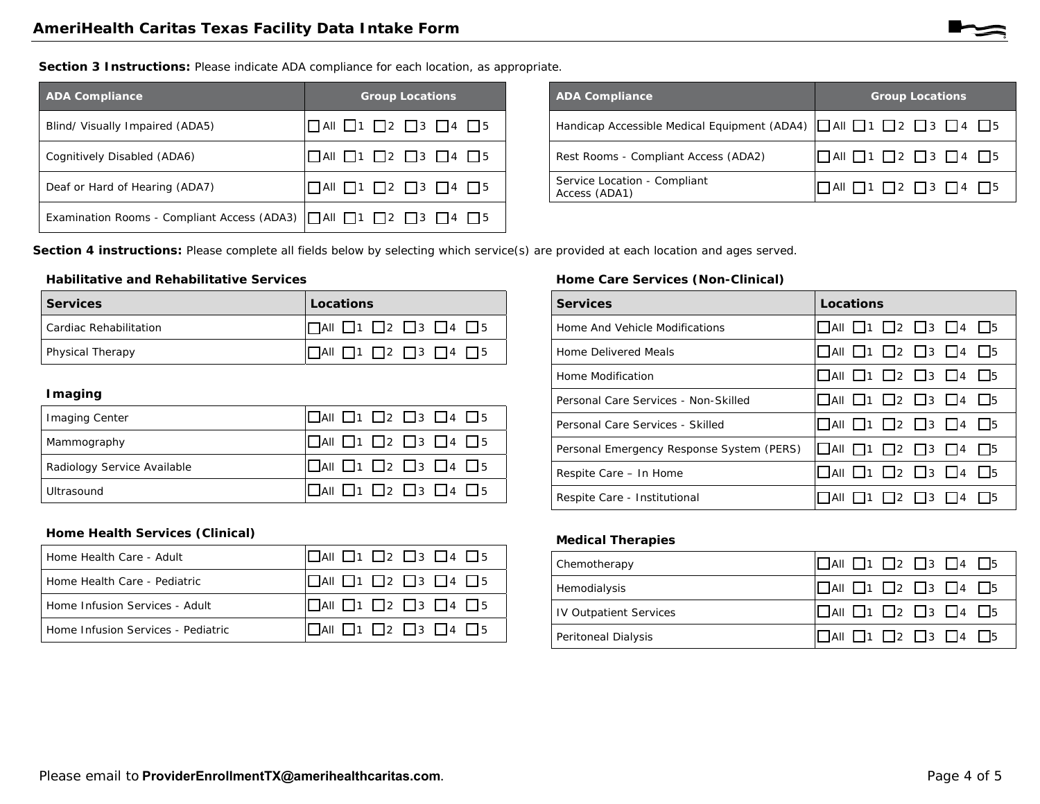Section 3 Instructions: Please indicate ADA compliance for each location, as appropriate.

| <b>ADA Compliance</b>                                                               | <b>Group Locations</b>                                  |
|-------------------------------------------------------------------------------------|---------------------------------------------------------|
| Blind/ Visually Impaired (ADA5)                                                     | $\Box$ All $\Box$ 1 $\Box$ 2 $\Box$ 3 $\Box$ 4 $\Box$ 5 |
| Cognitively Disabled (ADA6)                                                         | $\Box$ All $\Box$ 1 $\Box$ 2 $\Box$ 3 $\Box$ 4 $\Box$ 5 |
| Deaf or Hard of Hearing (ADA7)                                                      | $\Box$ All $\Box$ 1 $\Box$ 2 $\Box$ 3 $\Box$ 4 $\Box$ 5 |
| Examination Rooms - Compliant Access (ADA3)       All     1     2     3     4     5 |                                                         |

| <b>ADA Compliance</b>                                                    | <b>Group Locations</b>                                  |
|--------------------------------------------------------------------------|---------------------------------------------------------|
| Handicap Accessible Medical Equipment (ADA4)     All   1   2   3   4   5 |                                                         |
| Rest Rooms - Compliant Access (ADA2)                                     | $\Box$ All $\Box$ 1 $\Box$ 2 $\Box$ 3 $\Box$ 4 $\Box$ 5 |
| Service Location - Compliant<br>Access (ADA1)                            | $\Box$ All $\Box$ 1 $\Box$ 2 $\Box$ 3 $\Box$ 4 $\Box$ 5 |

Section 4 instructions: Please complete all fields below by selecting which service(s) are provided at each location and ages served.

#### **Habilitative and Rehabilitative Services**

| <b>Services</b>        | Locations                                               |
|------------------------|---------------------------------------------------------|
| Cardiac Rehabilitation | $\Box$ AII $\Box$ 1 $\Box$ 2 $\Box$ 3 $\Box$ 4 $\Box$ 5 |
| Physical Therapy       | $\Box$ All $\Box$ 1 $\Box$ 2 $\Box$ 3 $\Box$ 4 $\Box$ 5 |

#### **I**maging

| <b>Imaging Center</b>       | $\Box$ AII $\Box$ 1 $\Box$ 2 $\Box$ 3 $\Box$ 4 $\Box$ 5 |
|-----------------------------|---------------------------------------------------------|
| Mammography                 | $\Box$ AII $\Box$ 1 $\Box$ 2 $\Box$ 3 $\Box$ 4 $\Box$ 5 |
| Radiology Service Available | $\Box$ AII $\Box$ 1 $\Box$ 2 $\Box$ 3 $\Box$ 4 $\Box$ 5 |
| Ultrasound                  | $\Box$ AII $\Box$ 1 $\Box$ 2 $\Box$ 3 $\Box$ 4 $\Box$ 5 |

#### Home Health Services (Clinical)

| Home Health Care - Adult           | $\Box$ AII $\Box$ 1 $\Box$ 2 $\Box$ 3 $\Box$ 4 $\Box$ 5 |
|------------------------------------|---------------------------------------------------------|
| Home Health Care - Pediatric       | $\Box$ AII $\Box$ 1 $\Box$ 2 $\Box$ 3 $\Box$ 4 $\Box$ 5 |
| Home Infusion Services - Adult     | $\Box$ AII $\Box$ 1 $\Box$ 2 $\Box$ 3 $\Box$ 4 $\Box$ 5 |
| Home Infusion Services - Pediatric | $\Box$ AII $\Box$ 1 $\Box$ 2 $\Box$ 3 $\Box$ 4 $\Box$ 5 |

#### Home Care Services (Non-Clinical)

| <b>Services</b>                           | Locations                                                     |
|-------------------------------------------|---------------------------------------------------------------|
| Home And Vehicle Modifications            | $\Box$ AII $\Box$ 1 $\Box$ 2 $\Box$ 3 $\Box$ 4 $\Box$ 5       |
| Home Delivered Meals                      | $\Box$ All $\Box$ 1 $\Box$ 2 $\Box$ 3 $\Box$ 4 $\Box$ 5       |
| Home Modification                         | $\Box$ AII $\Box$ 1 $\Box$ 2 $\Box$ 3 $\Box$ 4 $\Box$ 5       |
| Personal Care Services - Non-Skilled      | $\Box$ AII $\Box$ 1 $\Box$ 2 $\Box$ 3 $\Box$ 4 $\Box$ 5       |
| Personal Care Services - Skilled          | A    1   2   3   4   5                                        |
| Personal Emergency Response System (PERS) | II IAII<br>$\begin{bmatrix} 2 & 3 \end{bmatrix}$<br>$\vert$ 5 |
| Respite Care - In Home                    | $\Box$ 1 $\Box$ 2 $\Box$ 3 $\Box$ 4<br> A                     |
| Respite Care - Institutional              | 2    3    4<br><b>TAIL</b>                                    |

#### **Medical Therapies**

| Chemotherapy                  | $\Box$ AII $\Box$ 1 $\Box$ 2 $\Box$ 3 $\Box$ 4 $\Box$ 5 |
|-------------------------------|---------------------------------------------------------|
| Hemodialysis                  | $\Box$ AII $\Box$ 1 $\Box$ 2 $\Box$ 3 $\Box$ 4 $\Box$ 5 |
| <b>IV Outpatient Services</b> | $\Box$ AII $\Box$ 1 $\Box$ 2 $\Box$ 3 $\Box$ 4 $\Box$ 5 |
| Peritoneal Dialysis           | $\Box$ AII $\Box$ 1 $\Box$ 2 $\Box$ 3 $\Box$ 4 $\Box$ 5 |